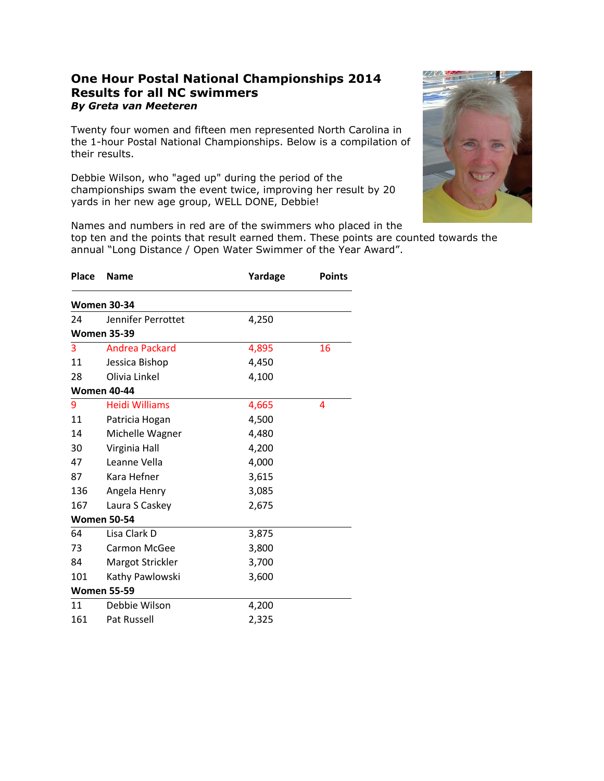## **One Hour Postal National Championships 2014 Results for all NC swimmers** *By Greta van Meeteren*

Twenty four women and fifteen men represented North Carolina in the 1-hour Postal National Championships. Below is a compilation of their results.

Debbie Wilson, who "aged up" during the period of the championships swam the event twice, improving her result by 20 yards in her new age group, WELL DONE, Debbie!



Names and numbers in red are of the swimmers who placed in the

top ten and the points that result earned them. These points are counted towards the annual "Long Distance / Open Water Swimmer of the Year Award".

| <b>Place</b> | <b>Name</b>           | Yardage | <b>Points</b> |
|--------------|-----------------------|---------|---------------|
|              | <b>Women 30-34</b>    |         |               |
| 24           | Jennifer Perrottet    | 4,250   |               |
|              | <b>Women 35-39</b>    |         |               |
| 3            | Andrea Packard        | 4,895   | 16            |
| 11           | Jessica Bishop        | 4,450   |               |
| 28           | Olivia Linkel         | 4,100   |               |
|              | <b>Women 40-44</b>    |         |               |
| 9            | <b>Heidi Williams</b> | 4,665   | 4             |
| 11           | Patricia Hogan        | 4,500   |               |
| 14           | Michelle Wagner       | 4,480   |               |
| 30           | Virginia Hall         | 4,200   |               |
| 47           | Leanne Vella          | 4,000   |               |
| 87           | Kara Hefner           | 3,615   |               |
| 136          | Angela Henry          | 3,085   |               |
| 167          | Laura S Caskey        | 2,675   |               |
|              | <b>Women 50-54</b>    |         |               |
| 64           | Lisa Clark D          | 3,875   |               |
| 73           | Carmon McGee          | 3,800   |               |
| 84           | Margot Strickler      | 3,700   |               |
| 101          | Kathy Pawlowski       | 3,600   |               |
|              | <b>Women 55-59</b>    |         |               |
| 11           | Debbie Wilson         | 4,200   |               |
| 161          | Pat Russell           | 2,325   |               |
|              |                       |         |               |